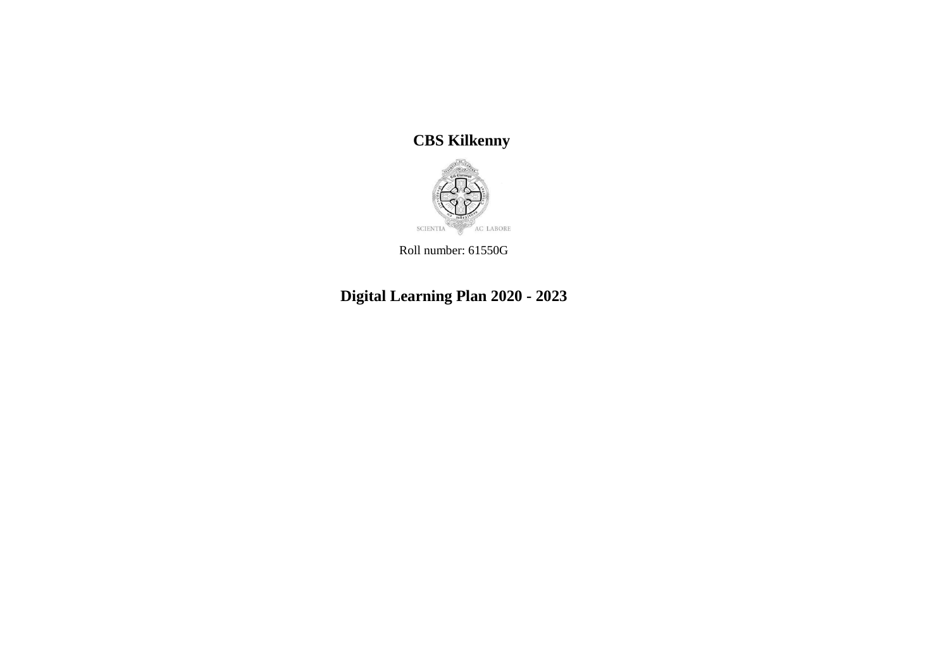**CBS Kilkenny**



Roll number: 61550G

**Digital Learning Plan 2020 - 2023**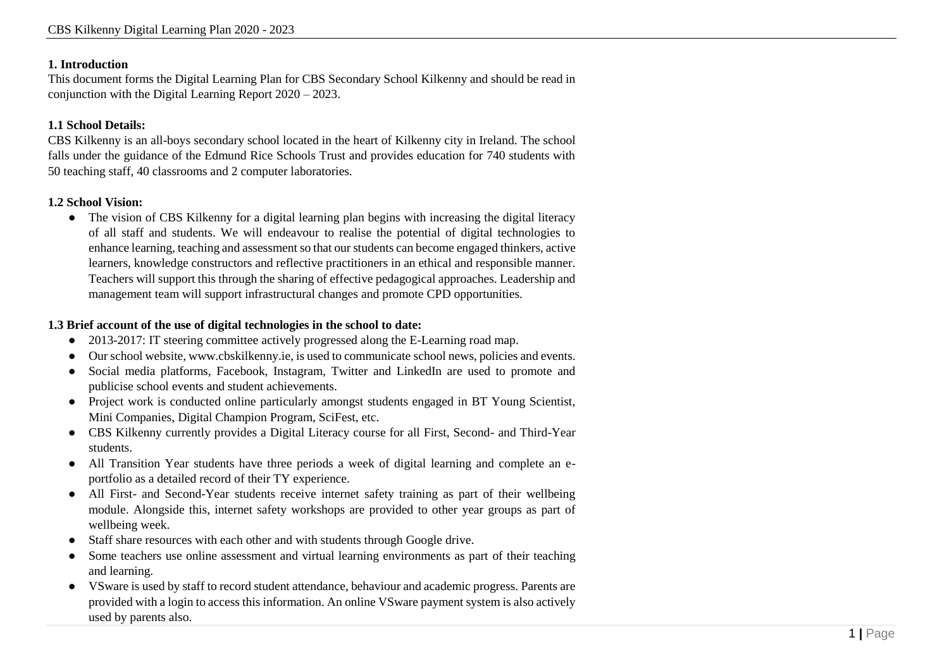#### **1. Introduction**

This document forms the Digital Learning Plan for CBS Secondary School Kilkenny and should be read in conjunction with the Digital Learning Report 2020 – 2023.

#### **1.1 School Details:**

CBS Kilkenny is an all-boys secondary school located in the heart of Kilkenny city in Ireland. The school falls under the guidance of the Edmund Rice Schools Trust and provides education for 740 students with 50 teaching staff, 40 classrooms and 2 computer laboratories.

#### **1.2 School Vision:**

• The vision of CBS Kilkenny for a digital learning plan begins with increasing the digital literacy of all staff and students. We will endeavour to realise the potential of digital technologies to enhance learning, teaching and assessment so that our students can become engaged thinkers, active learners, knowledge constructors and reflective practitioners in an ethical and responsible manner. Teachers will support this through the sharing of effective pedagogical approaches. Leadership and management team will support infrastructural changes and promote CPD opportunities.

#### **1.3 Brief account of the use of digital technologies in the school to date:**

- 2013-2017: IT steering committee actively progressed along the E-Learning road map.
- Our school website, www.cbskilkenny.ie, is used to communicate school news, policies and events.
- Social media platforms, Facebook, Instagram, Twitter and LinkedIn are used to promote and publicise school events and student achievements.
- Project work is conducted online particularly amongst students engaged in BT Young Scientist, Mini Companies, Digital Champion Program, SciFest, etc.
- CBS Kilkenny currently provides a Digital Literacy course for all First, Second- and Third-Year students.
- All Transition Year students have three periods a week of digital learning and complete an eportfolio as a detailed record of their TY experience.
- All First- and Second-Year students receive internet safety training as part of their wellbeing module. Alongside this, internet safety workshops are provided to other year groups as part of wellbeing week.
- Staff share resources with each other and with students through Google drive.
- Some teachers use online assessment and virtual learning environments as part of their teaching and learning.
- VSware is used by staff to record student attendance, behaviour and academic progress. Parents are provided with a login to access this information. An online VSware payment system is also actively used by parents also.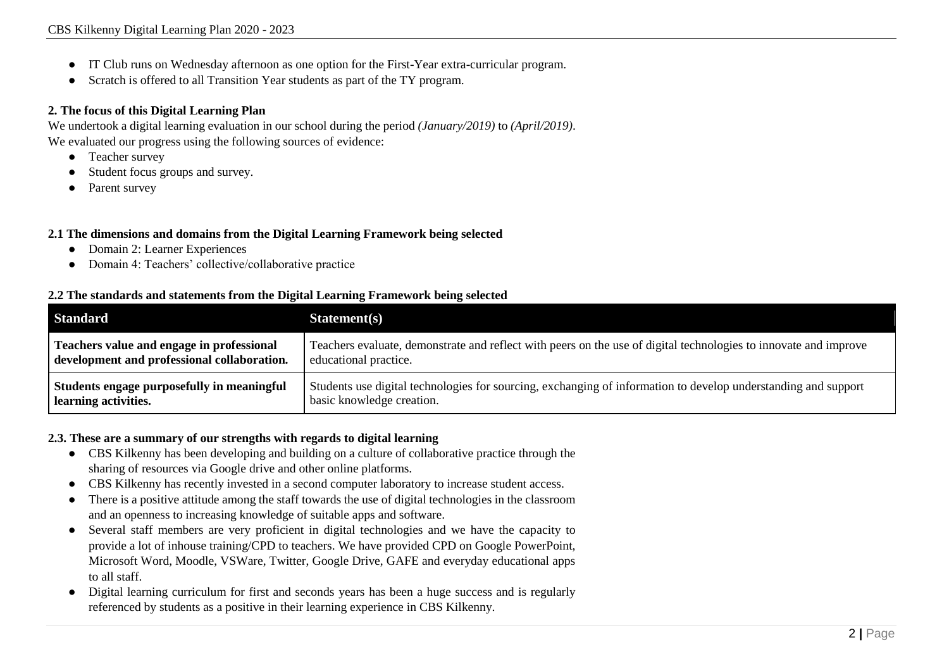- IT Club runs on Wednesday afternoon as one option for the First-Year extra-curricular program.
- Scratch is offered to all Transition Year students as part of the TY program.

#### **2. The focus of this Digital Learning Plan**

We undertook a digital learning evaluation in our school during the period *(January/2019)* to *(April/2019)*. We evaluated our progress using the following sources of evidence:

- Teacher survey
- Student focus groups and survey.
- Parent survey

#### **2.1 The dimensions and domains from the Digital Learning Framework being selected**

- Domain 2: Learner Experiences
- Domain 4: Teachers' collective/collaborative practice

#### **2.2 The standards and statements from the Digital Learning Framework being selected**

| <b>Standard</b>                             | Statement(s)                                                                                                     |
|---------------------------------------------|------------------------------------------------------------------------------------------------------------------|
| Teachers value and engage in professional   | Teachers evaluate, demonstrate and reflect with peers on the use of digital technologies to innovate and improve |
| development and professional collaboration. | educational practice.                                                                                            |
| Students engage purposefully in meaningful  | Students use digital technologies for sourcing, exchanging of information to develop understanding and support   |
| learning activities.                        | basic knowledge creation.                                                                                        |

#### **2.3. These are a summary of our strengths with regards to digital learning**

- CBS Kilkenny has been developing and building on a culture of collaborative practice through the sharing of resources via Google drive and other online platforms.
- CBS Kilkenny has recently invested in a second computer laboratory to increase student access.
- There is a positive attitude among the staff towards the use of digital technologies in the classroom and an openness to increasing knowledge of suitable apps and software.
- Several staff members are very proficient in digital technologies and we have the capacity to provide a lot of inhouse training/CPD to teachers. We have provided CPD on Google PowerPoint, Microsoft Word, Moodle, VSWare, Twitter, Google Drive, GAFE and everyday educational apps to all staff.
- Digital learning curriculum for first and seconds years has been a huge success and is regularly referenced by students as a positive in their learning experience in CBS Kilkenny.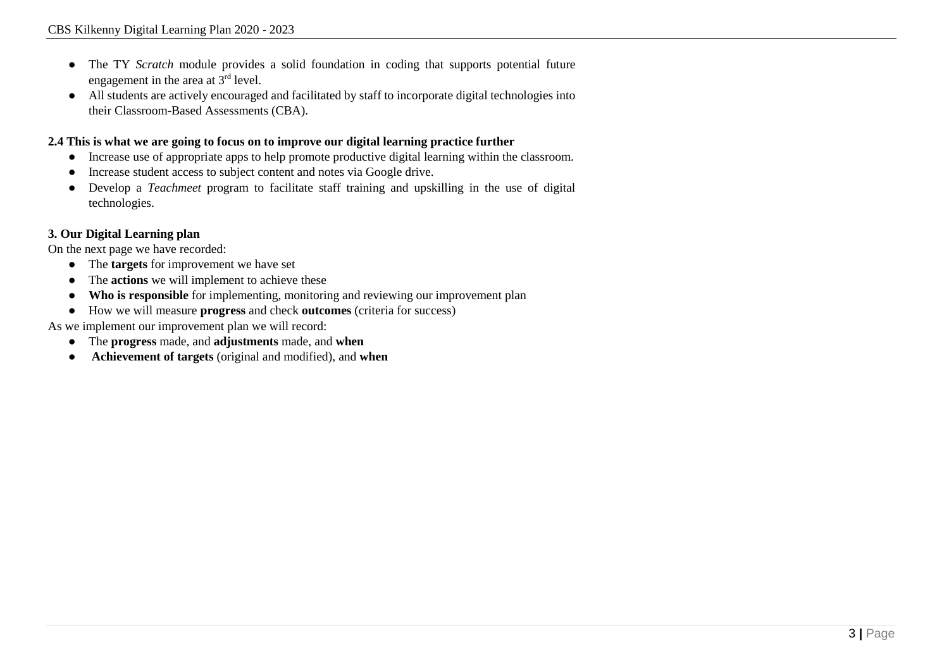- The TY *Scratch* module provides a solid foundation in coding that supports potential future engagement in the area at 3rd level.
- All students are actively encouraged and facilitated by staff to incorporate digital technologies into their Classroom-Based Assessments (CBA).

### **2.4 This is what we are going to focus on to improve our digital learning practice further**

- Increase use of appropriate apps to help promote productive digital learning within the classroom.
- Increase student access to subject content and notes via Google drive.
- Develop a *Teachmeet* program to facilitate staff training and upskilling in the use of digital technologies.

## **3. Our Digital Learning plan**

On the next page we have recorded:

- The **targets** for improvement we have set
- The **actions** we will implement to achieve these
- **Who is responsible** for implementing, monitoring and reviewing our improvement plan
- How we will measure **progress** and check **outcomes** (criteria for success)

As we implement our improvement plan we will record:

- The **progress** made, and **adjustments** made, and **when**
- **Achievement of targets** (original and modified), and **when**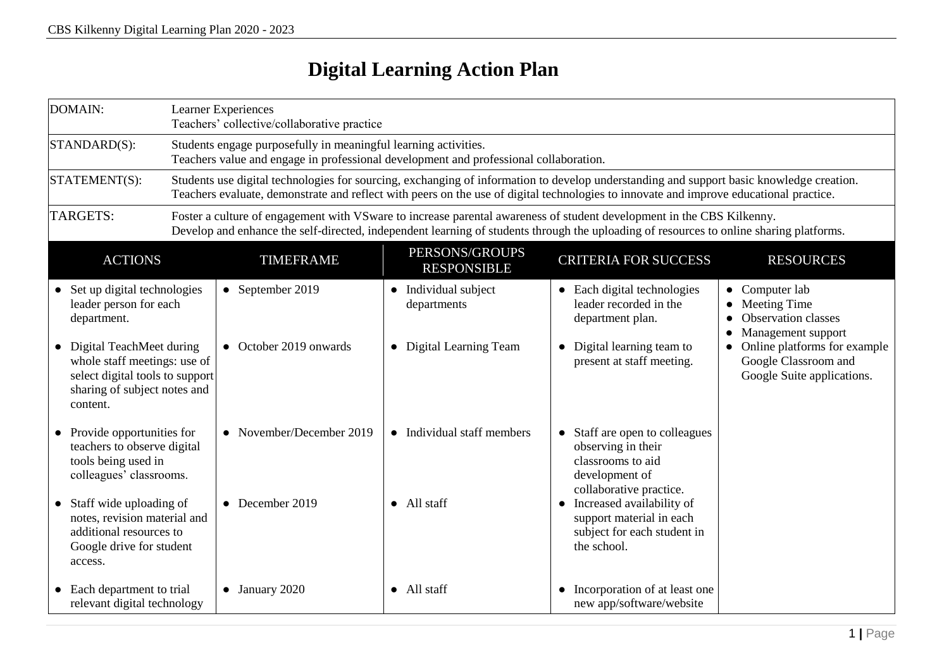# **Digital Learning Action Plan**

| DOMAIN:                                                                                     |                                                                                                                                                                                                                                                                                    | Learner Experiences<br>Teachers' collective/collaborative practice                                                                                       |                                      |                                                                                                                                   |                                                                                      |  |
|---------------------------------------------------------------------------------------------|------------------------------------------------------------------------------------------------------------------------------------------------------------------------------------------------------------------------------------------------------------------------------------|----------------------------------------------------------------------------------------------------------------------------------------------------------|--------------------------------------|-----------------------------------------------------------------------------------------------------------------------------------|--------------------------------------------------------------------------------------|--|
| STANDARD(S):                                                                                |                                                                                                                                                                                                                                                                                    | Students engage purposefully in meaningful learning activities.<br>Teachers value and engage in professional development and professional collaboration. |                                      |                                                                                                                                   |                                                                                      |  |
| STATEMENT(S):                                                                               | Students use digital technologies for sourcing, exchanging of information to develop understanding and support basic knowledge creation.<br>Teachers evaluate, demonstrate and reflect with peers on the use of digital technologies to innovate and improve educational practice. |                                                                                                                                                          |                                      |                                                                                                                                   |                                                                                      |  |
| TARGETS:                                                                                    | Foster a culture of engagement with VSware to increase parental awareness of student development in the CBS Kilkenny.<br>Develop and enhance the self-directed, independent learning of students through the uploading of resources to online sharing platforms.                   |                                                                                                                                                          |                                      |                                                                                                                                   |                                                                                      |  |
| <b>ACTIONS</b>                                                                              |                                                                                                                                                                                                                                                                                    | <b>TIMEFRAME</b>                                                                                                                                         | PERSONS/GROUPS<br><b>RESPONSIBLE</b> | <b>CRITERIA FOR SUCCESS</b>                                                                                                       | <b>RESOURCES</b>                                                                     |  |
| • Set up digital technologies<br>leader person for each<br>department.                      |                                                                                                                                                                                                                                                                                    | • September 2019                                                                                                                                         | • Individual subject<br>departments  | • Each digital technologies<br>leader recorded in the<br>department plan.                                                         | • Computer lab<br>• Meeting Time<br>• Observation classes<br>• Management support    |  |
| • Digital TeachMeet during<br>content.                                                      | whole staff meetings: use of<br>select digital tools to support<br>sharing of subject notes and                                                                                                                                                                                    | • October 2019 onwards                                                                                                                                   | • Digital Learning Team              | Digital learning team to<br>$\bullet$<br>present at staff meeting.                                                                | • Online platforms for example<br>Google Classroom and<br>Google Suite applications. |  |
| • Provide opportunities for<br>tools being used in<br>colleagues' classrooms.               | teachers to observe digital                                                                                                                                                                                                                                                        | • November/December 2019                                                                                                                                 | • Individual staff members           | Staff are open to colleagues<br>$\bullet$<br>observing in their<br>classrooms to aid<br>development of<br>collaborative practice. |                                                                                      |  |
| • Staff wide uploading of<br>additional resources to<br>Google drive for student<br>access. | notes, revision material and                                                                                                                                                                                                                                                       | $\bullet$ December 2019                                                                                                                                  | • All staff                          | Increased availability of<br>$\bullet$<br>support material in each<br>subject for each student in<br>the school.                  |                                                                                      |  |
| • Each department to trial                                                                  | relevant digital technology                                                                                                                                                                                                                                                        | $\bullet$ January 2020                                                                                                                                   | • All staff                          | Incorporation of at least one<br>new app/software/website                                                                         |                                                                                      |  |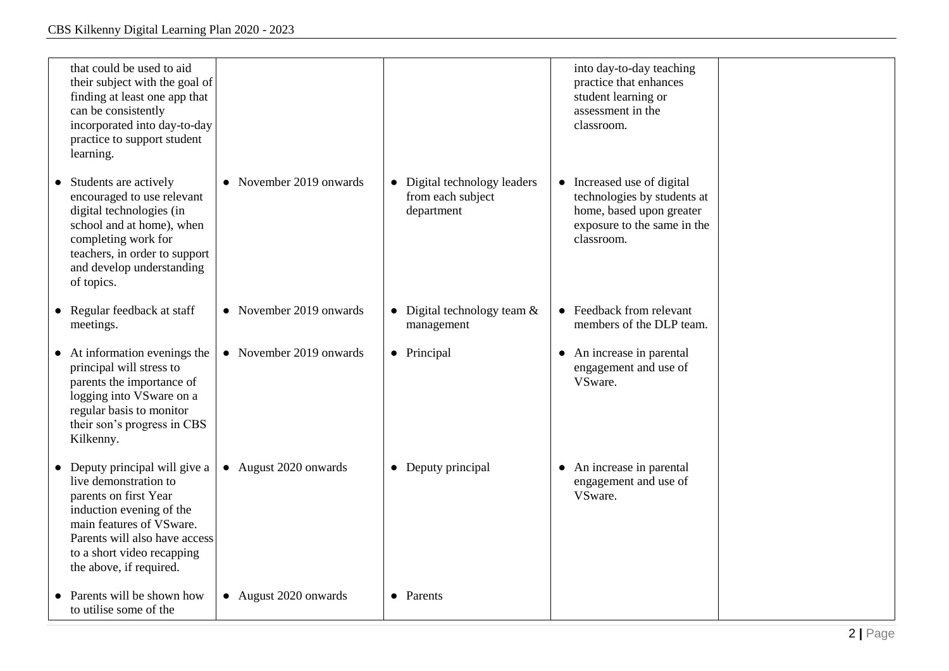| that could be used to aid<br>their subject with the goal of<br>finding at least one app that<br>can be consistently<br>incorporated into day-to-day<br>practice to support student<br>learning.                                    |                         |                                                                 | into day-to-day teaching<br>practice that enhances<br>student learning or<br>assessment in the<br>classroom.                       |  |
|------------------------------------------------------------------------------------------------------------------------------------------------------------------------------------------------------------------------------------|-------------------------|-----------------------------------------------------------------|------------------------------------------------------------------------------------------------------------------------------------|--|
| Students are actively<br>encouraged to use relevant<br>digital technologies (in<br>school and at home), when<br>completing work for<br>teachers, in order to support<br>and develop understanding<br>of topics.                    | • November 2019 onwards | • Digital technology leaders<br>from each subject<br>department | • Increased use of digital<br>technologies by students at<br>home, based upon greater<br>exposure to the same in the<br>classroom. |  |
| • Regular feedback at staff<br>meetings.                                                                                                                                                                                           | • November 2019 onwards | • Digital technology team $&$<br>management                     | • Feedback from relevant<br>members of the DLP team.                                                                               |  |
| $\bullet$ At information evenings the<br>principal will stress to<br>parents the importance of<br>logging into VSware on a<br>regular basis to monitor<br>their son's progress in CBS<br>Kilkenny.                                 | • November 2019 onwards | • Principal                                                     | • An increase in parental<br>engagement and use of<br>VSware.                                                                      |  |
| • Deputy principal will give a<br>live demonstration to<br>parents on first Year<br>induction evening of the<br>main features of VSware.<br>Parents will also have access<br>to a short video recapping<br>the above, if required. | • August 2020 onwards   | • Deputy principal                                              | An increase in parental<br>$\bullet$<br>engagement and use of<br>VSware.                                                           |  |
| Parents will be shown how<br>to utilise some of the                                                                                                                                                                                | • August 2020 onwards   | • Parents                                                       |                                                                                                                                    |  |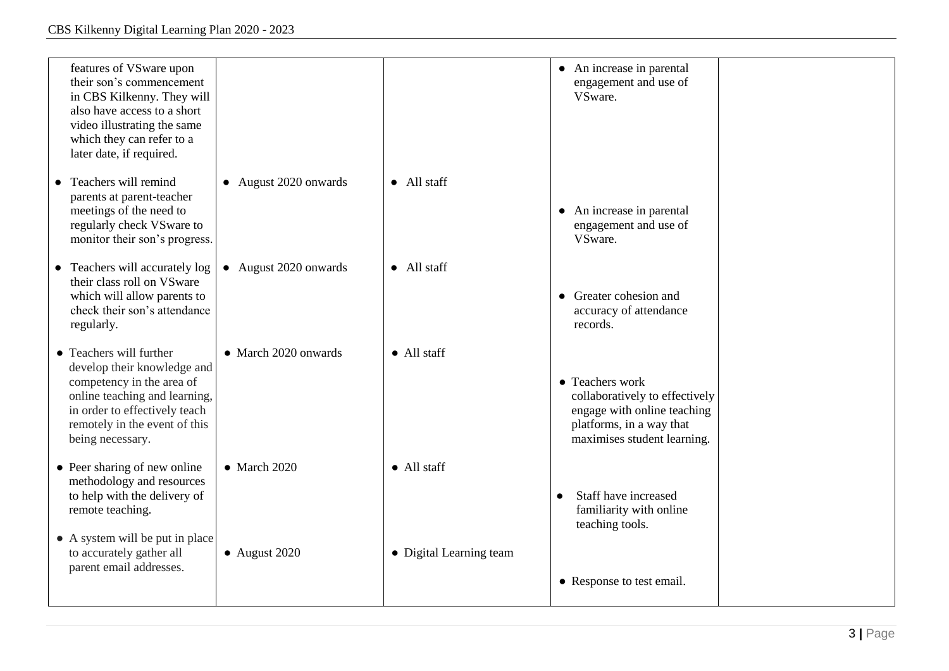| features of VSware upon<br>their son's commencement<br>in CBS Kilkenny. They will<br>also have access to a short<br>video illustrating the same<br>which they can refer to a<br>later date, if required.   |                       |                         | • An increase in parental<br>engagement and use of<br>VSware.                                                                               |  |
|------------------------------------------------------------------------------------------------------------------------------------------------------------------------------------------------------------|-----------------------|-------------------------|---------------------------------------------------------------------------------------------------------------------------------------------|--|
| Teachers will remind<br>parents at parent-teacher<br>meetings of the need to<br>regularly check VS ware to<br>monitor their son's progress.                                                                | • August 2020 onwards | $\bullet$ All staff     | • An increase in parental<br>engagement and use of<br>VSware.                                                                               |  |
| Teachers will accurately log<br>$\bullet$<br>their class roll on VSware<br>which will allow parents to<br>check their son's attendance<br>regularly.                                                       | • August 2020 onwards | • All staff             | • Greater cohesion and<br>accuracy of attendance<br>records.                                                                                |  |
| • Teachers will further<br>develop their knowledge and<br>competency in the area of<br>online teaching and learning,<br>in order to effectively teach<br>remotely in the event of this<br>being necessary. | • March 2020 onwards  | $\bullet$ All staff     | • Teachers work<br>collaboratively to effectively<br>engage with online teaching<br>platforms, in a way that<br>maximises student learning. |  |
| $\bullet$ Peer sharing of new online<br>methodology and resources<br>to help with the delivery of<br>remote teaching.                                                                                      | $\bullet$ March 2020  | $\bullet$ All staff     | Staff have increased<br>familiarity with online<br>teaching tools.                                                                          |  |
| • A system will be put in place<br>to accurately gather all<br>parent email addresses.                                                                                                                     | $\bullet$ August 2020 | • Digital Learning team | • Response to test email.                                                                                                                   |  |